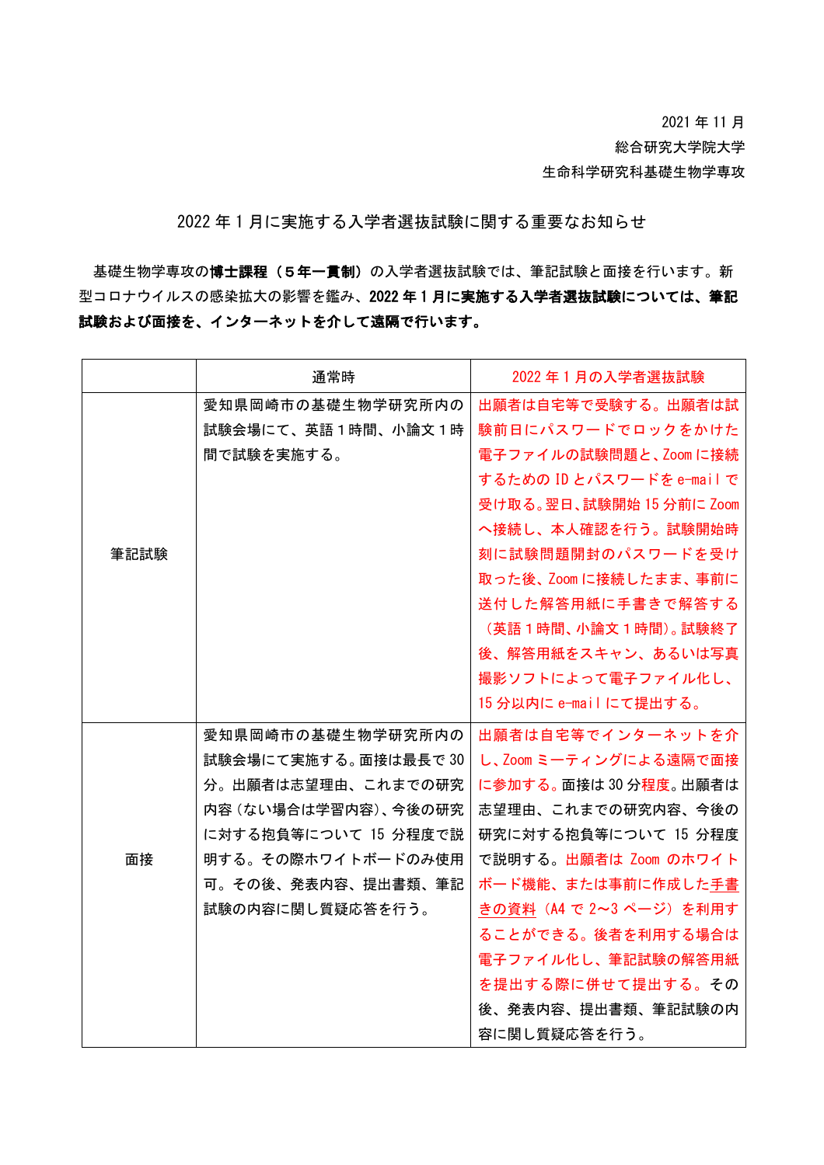2021 年 11 月

総合研究大学院大学

生命科学研究科基礎生物学専攻

2022 年 1 月に実施する入学者選抜試験に関する重要なお知らせ

基礎生物学専攻の博士課程(5年一貫制)の入学者選抜試験では、筆記試験と面接を行います。新 型コロナウイルスの感染拡大の影響を鑑み、2022 年 1 月に実施する入学者選抜試験については、筆記 試験および面接を、インターネットを介して遠隔で行います。

|      | 通常時                  | 2022年1月の入学者選抜試験           |
|------|----------------------|---------------------------|
|      | 愛知県岡崎市の基礎生物学研究所内の    | 出願者は自宅等で受験する。出願者は試        |
|      | 試験会場にて、英語1時間、小論文1時   | 験前日にパスワードでロックをかけた         |
|      | 間で試験を実施する。           | 電子ファイルの試験問題と、Zoom に接続     |
|      |                      | するための ID とパスワードを e-mail で |
|      |                      | 受け取る。翌日、試験開始 15 分前に Zoom  |
|      |                      | へ接続し、本人確認を行う。試験開始時        |
| 筆記試験 |                      | 刻に試験問題開封のパスワードを受け         |
|      |                      | 取った後、Zoom に接続したまま、事前に     |
|      |                      | 送付した解答用紙に手書きで解答する         |
|      |                      | (英語1時間、小論文1時間)。 試験終了      |
|      |                      | 後、解答用紙をスキャン、あるいは写真        |
|      |                      | 撮影ソフトによって電子ファイル化し、        |
|      |                      | 15 分以内に e-mail にて提出する。    |
|      | 愛知県岡崎市の基礎生物学研究所内の    | 出願者は自宅等でインターネットを介         |
|      | 試験会場にて実施する。面接は最長で 30 | し、Zoom ミーティングによる遠隔で面接     |
|      | 分。出願者は志望理由、これまでの研究   | に参加する。面接は30分程度。出願者は       |
|      | 内容(ない場合は学習内容)、今後の研究  | 志望理由、これまでの研究内容、今後の        |
| 面接   | に対する抱負等について 15 分程度で説 | 研究に対する抱負等について 15 分程度      |
|      | 明する。その際ホワイトボードのみ使用   | で説明する。出願者は Zoom のホワイト     |
|      | 可。その後、発表内容、提出書類、筆記   | ボード機能、または事前に作成した手書        |
|      | 試験の内容に関し質疑応答を行う。     | きの資料 (A4 で 2~3 ページ) を利用す  |
|      |                      | ることができる。後者を利用する場合は        |
|      |                      | 電子ファイル化し、筆記試験の解答用紙        |
|      |                      | を提出する際に併せて提出する。その         |
|      |                      | 後、発表内容、提出書類、筆記試験の内        |
|      |                      | 容に関し質疑応答を行う。              |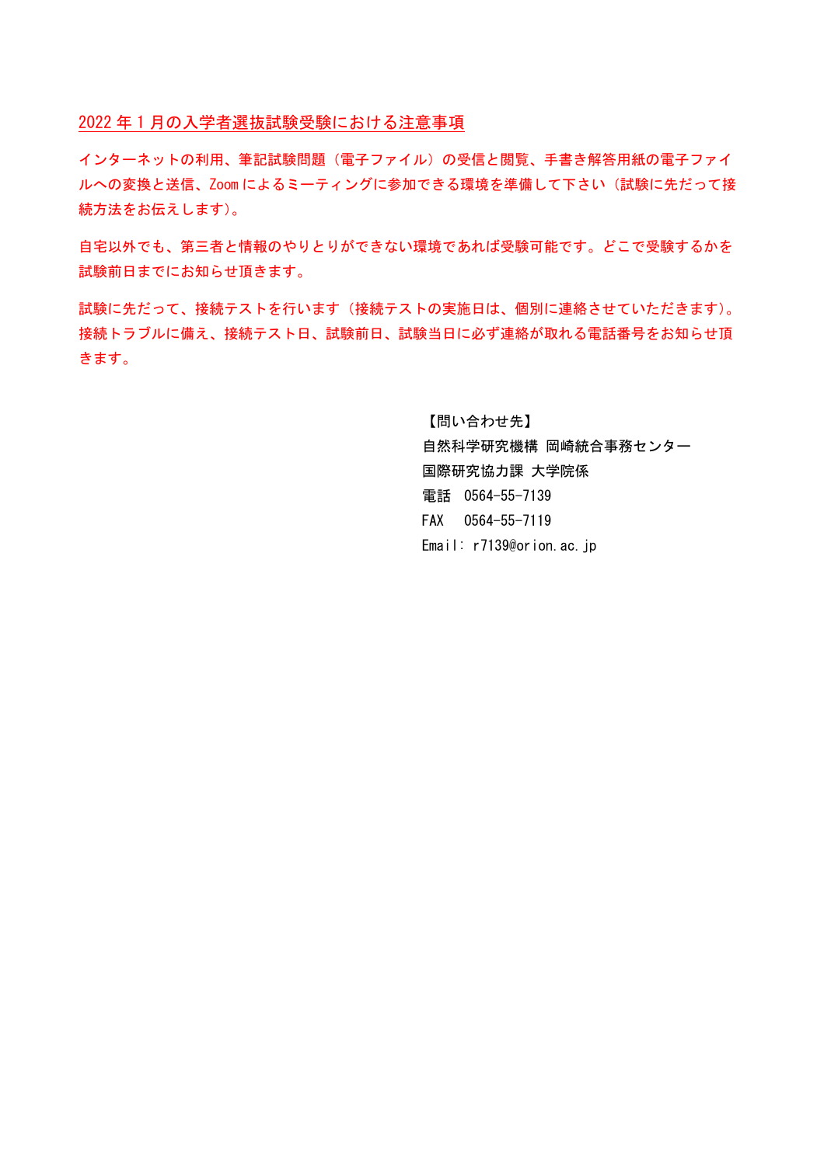2022 年 1 月の入学者選抜試験受験における注意事項

インターネットの利用、筆記試験問題(電子ファイル)の受信と閲覧、手書き解答用紙の電子ファイ ルへの変換と送信、Zoom によるミーティングに参加できる環境を準備して下さい(試験に先だって接 続方法をお伝えします)。

自宅以外でも、第三者と情報のやりとりができない環境であれば受験可能です。どこで受験するかを 試験前日までにお知らせ頂きます。

試験に先だって、接続テストを行います(接続テストの実施日は、個別に連絡させていただきます)。 接続トラブルに備え、接続テスト日、試験前日、試験当日に必ず連絡が取れる電話番号をお知らせ頂 きます。

> 【問い合わせ先】 自然科学研究機構 岡崎統合事務センター 国際研究協力課 大学院係 電話 0564-55-7139 FAX 0564-55-7119 Email: r7139@orion.ac.jp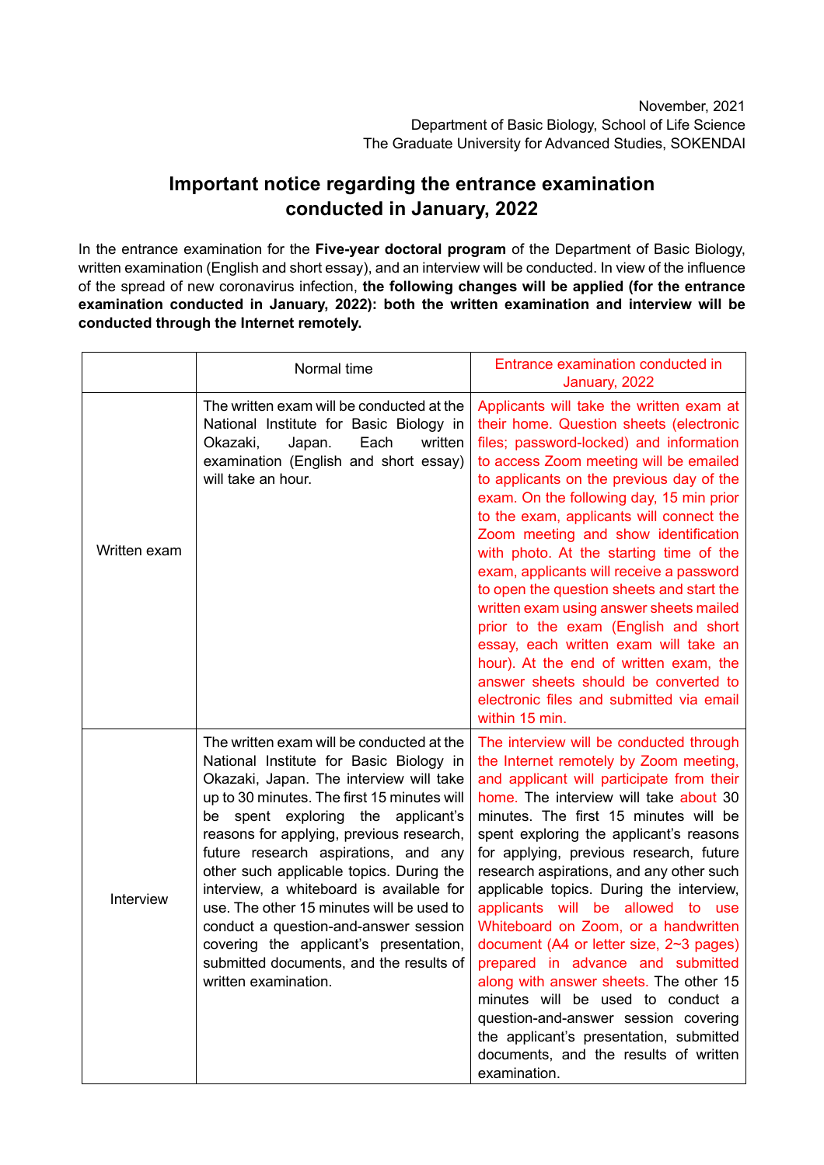## **Important notice regarding the entrance examination conducted in January, 2022**

In the entrance examination for the **Five-year doctoral program** of the Department of Basic Biology, written examination (English and short essay), and an interview will be conducted. In view of the influence of the spread of new coronavirus infection, **the following changes will be applied (for the entrance examination conducted in January, 2022): both the written examination and interview will be conducted through the Internet remotely.**

|              | Normal time                                                                                                                                                                                                                                                                                                                                                                                                                                                                                                                                                                                         | Entrance examination conducted in<br>January, 2022                                                                                                                                                                                                                                                                                                                                                                                                                                                                                                                                                                                                                                                                                                                                      |
|--------------|-----------------------------------------------------------------------------------------------------------------------------------------------------------------------------------------------------------------------------------------------------------------------------------------------------------------------------------------------------------------------------------------------------------------------------------------------------------------------------------------------------------------------------------------------------------------------------------------------------|-----------------------------------------------------------------------------------------------------------------------------------------------------------------------------------------------------------------------------------------------------------------------------------------------------------------------------------------------------------------------------------------------------------------------------------------------------------------------------------------------------------------------------------------------------------------------------------------------------------------------------------------------------------------------------------------------------------------------------------------------------------------------------------------|
| Written exam | The written exam will be conducted at the<br>National Institute for Basic Biology in<br>Okazaki,<br>Japan.<br>Each<br>written<br>examination (English and short essay)<br>will take an hour.                                                                                                                                                                                                                                                                                                                                                                                                        | Applicants will take the written exam at<br>their home. Question sheets (electronic<br>files; password-locked) and information<br>to access Zoom meeting will be emailed<br>to applicants on the previous day of the<br>exam. On the following day, 15 min prior<br>to the exam, applicants will connect the<br>Zoom meeting and show identification<br>with photo. At the starting time of the<br>exam, applicants will receive a password<br>to open the question sheets and start the<br>written exam using answer sheets mailed<br>prior to the exam (English and short<br>essay, each written exam will take an<br>hour). At the end of written exam, the<br>answer sheets should be converted to<br>electronic files and submitted via email<br>within 15 min.                    |
| Interview    | The written exam will be conducted at the<br>National Institute for Basic Biology in<br>Okazaki, Japan. The interview will take<br>up to 30 minutes. The first 15 minutes will<br>be spent exploring the applicant's<br>reasons for applying, previous research,<br>future research aspirations, and any<br>other such applicable topics. During the<br>interview, a whiteboard is available for<br>use. The other 15 minutes will be used to<br>conduct a question-and-answer session<br>covering the applicant's presentation,<br>submitted documents, and the results of<br>written examination. | The interview will be conducted through<br>the Internet remotely by Zoom meeting,<br>and applicant will participate from their<br>home. The interview will take about 30<br>minutes. The first 15 minutes will be<br>spent exploring the applicant's reasons<br>for applying, previous research, future<br>research aspirations, and any other such<br>applicable topics. During the interview,<br>applicants will be allowed to use<br>Whiteboard on Zoom, or a handwritten<br>document (A4 or letter size, 2~3 pages)<br>prepared in advance and submitted<br>along with answer sheets. The other 15<br>minutes will be used to conduct a<br>question-and-answer session covering<br>the applicant's presentation, submitted<br>documents, and the results of written<br>examination. |